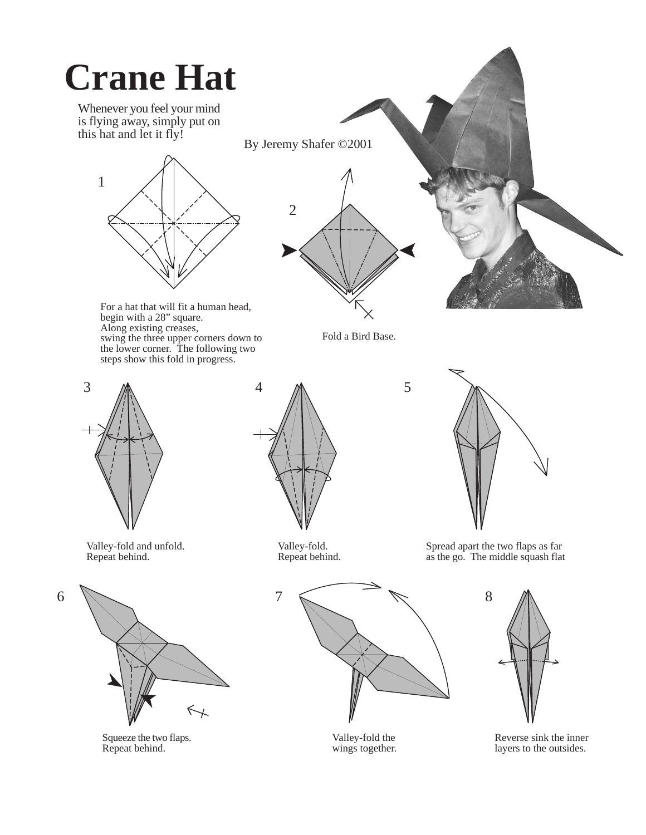